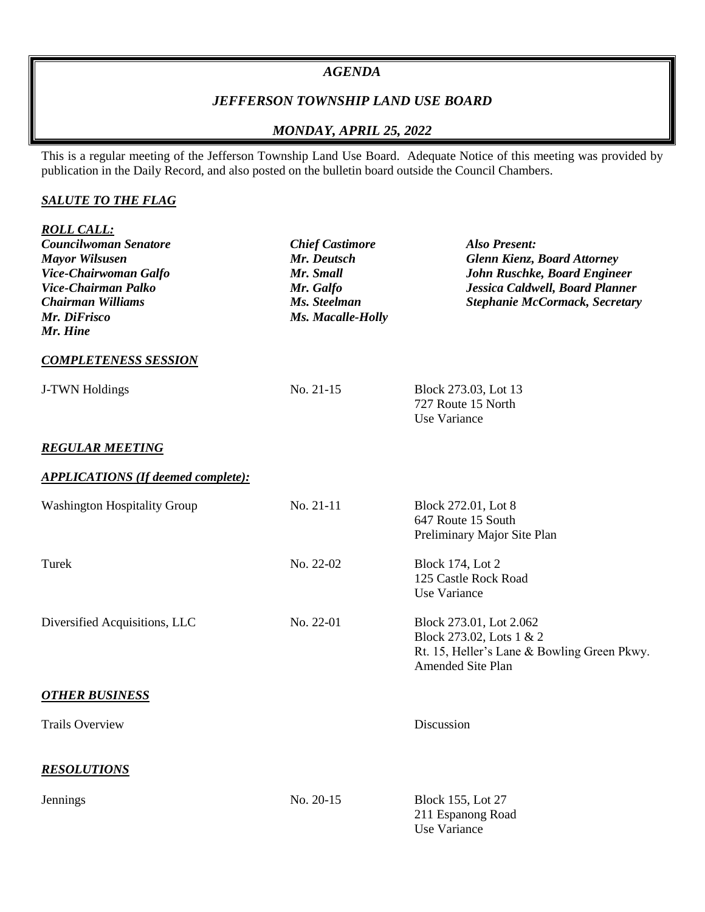#### *AGENDA*

### *JEFFERSON TOWNSHIP LAND USE BOARD*

## *MONDAY, APRIL 25, 2022*

This is a regular meeting of the Jefferson Township Land Use Board. Adequate Notice of this meeting was provided by publication in the Daily Record, and also posted on the bulletin board outside the Council Chambers.

### *SALUTE TO THE FLAG*

| <b>ROLL CALL:</b>                                                                                    |                                                             |                                                                                                          |                             |           |                                            |
|------------------------------------------------------------------------------------------------------|-------------------------------------------------------------|----------------------------------------------------------------------------------------------------------|-----------------------------|-----------|--------------------------------------------|
| <b>Councilwoman Senatore</b><br><b>Mayor Wilsusen</b>                                                | <b>Chief Castimore</b><br>Mr. Deutsch                       | <b>Also Present:</b><br><b>Glenn Kienz, Board Attorney</b>                                               |                             |           |                                            |
| Vice-Chairwoman Galfo<br>Vice-Chairman Palko<br><b>Chairman Williams</b><br>Mr. DiFrisco<br>Mr. Hine | Mr. Small<br>Mr. Galfo<br>Ms. Steelman<br>Ms. Macalle-Holly | John Ruschke, Board Engineer<br>Jessica Caldwell, Board Planner<br><b>Stephanie McCormack, Secretary</b> |                             |           |                                            |
|                                                                                                      |                                                             |                                                                                                          | <b>COMPLETENESS SESSION</b> |           |                                            |
|                                                                                                      |                                                             |                                                                                                          | J-TWN Holdings              | No. 21-15 | Block 273.03, Lot 13<br>727 Route 15 North |
|                                                                                                      |                                                             |                                                                                                          |                             |           | Use Variance                               |
| <b>REGULAR MEETING</b>                                                                               |                                                             |                                                                                                          |                             |           |                                            |
| <b>APPLICATIONS (If deemed complete):</b>                                                            |                                                             |                                                                                                          |                             |           |                                            |
| <b>Washington Hospitality Group</b>                                                                  | No. 21-11                                                   | Block 272.01, Lot 8                                                                                      |                             |           |                                            |
|                                                                                                      |                                                             | 647 Route 15 South                                                                                       |                             |           |                                            |
|                                                                                                      |                                                             | Preliminary Major Site Plan                                                                              |                             |           |                                            |
| Turek                                                                                                | No. 22-02                                                   | <b>Block 174, Lot 2</b>                                                                                  |                             |           |                                            |
|                                                                                                      |                                                             | 125 Castle Rock Road<br>Use Variance                                                                     |                             |           |                                            |
|                                                                                                      |                                                             |                                                                                                          |                             |           |                                            |
| Diversified Acquisitions, LLC                                                                        | No. 22-01                                                   | Block 273.01, Lot 2.062                                                                                  |                             |           |                                            |
|                                                                                                      |                                                             | Block 273.02, Lots 1 & 2<br>Rt. 15, Heller's Lane & Bowling Green Pkwy.                                  |                             |           |                                            |
|                                                                                                      |                                                             | Amended Site Plan                                                                                        |                             |           |                                            |
| <b>OTHER BUSINESS</b>                                                                                |                                                             |                                                                                                          |                             |           |                                            |
| <b>Trails Overview</b>                                                                               |                                                             | Discussion                                                                                               |                             |           |                                            |
| <b>RESOLUTIONS</b>                                                                                   |                                                             |                                                                                                          |                             |           |                                            |
|                                                                                                      |                                                             |                                                                                                          |                             |           |                                            |
| Jennings                                                                                             | No. 20-15                                                   | Block 155, Lot 27                                                                                        |                             |           |                                            |
|                                                                                                      |                                                             | 211 Espanong Road                                                                                        |                             |           |                                            |
|                                                                                                      |                                                             | Use Variance                                                                                             |                             |           |                                            |